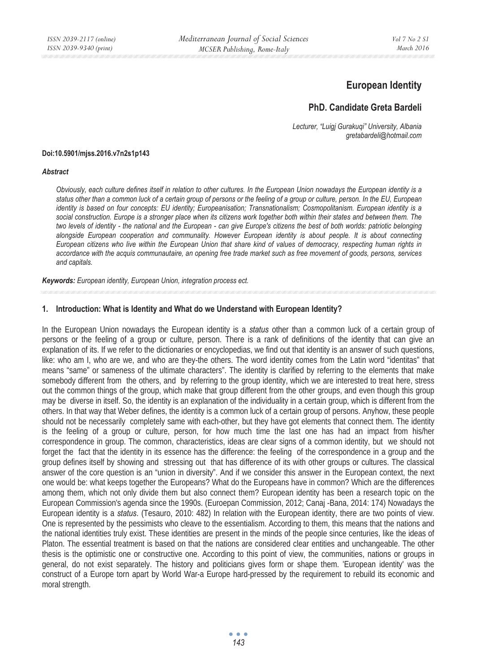# **European Identity**

# **PhD. Candidate Greta Bardeli**

*Lecturer, "Luigj Gurakuqi" University, Albania gretabardeli@hotmail.com* 

### **Doi:10.5901/mjss.2016.v7n2s1p143**

### *Abstract*

*Obviously, each culture defines itself in relation to other cultures. In the European Union nowadays the European identity is a status other than a common luck of a certain group of persons or the feeling of a group or culture, person. In the EU, European identity is based on four concepts: EU identity; Europeanisation; Transnationalism; Cosmopolitanism. European identity is a social construction. Europe is a stronger place when its citizens work together both within their states and between them. The two levels of identity - the national and the European - can give Europe's citizens the best of both worlds: patriotic belonging alongside European cooperation and communality. However European identity is about people. It is about connecting European citizens who live within the European Union that share kind of values of democracy, respecting human rights in accordance with the acquis communautaire, an opening free trade market such as free movement of goods, persons, services and capitals.* 

*Keywords: European identity, European Union, integration process ect.* 

### **1. Introduction: What is Identity and What do we Understand with European Identity?**

In the European Union nowadays the European identity is a *status* other than a common luck of a certain group of persons or the feeling of a group or culture, person. There is a rank of definitions of the identity that can give an explanation of its. If we refer to the dictionaries or encyclopedias, we find out that identity is an answer of such questions, like: who am I, who are we, and who are they-the others. The word identity comes from the Latin word "identitas" that means "same" or sameness of the ultimate characters". The identity is clarified by referring to the elements that make somebody different from the others, and by referring to the group identity, which we are interested to treat here, stress out the common things of the group, which make that group different from the other groups, and even though this group may be diverse in itself. So, the identity is an explanation of the individuality in a certain group, which is different from the others. In that way that Weber defines, the identity is a common luck of a certain group of persons. Anyhow, these people should not be necessarily completely same with each-other, but they have got elements that connect them. The identity is the feeling of a group or culture, person, for how much time the last one has had an impact from his/her correspondence in group. The common, characteristics, ideas are clear signs of a common identity, but we should not forget the fact that the identity in its essence has the difference: the feeling of the correspondence in a group and the group defines itself by showing and stressing out that has difference of its with other groups or cultures. The classical answer of the core question is an "union in diversity". And if we consider this answer in the European context, the next one would be: what keeps together the Europeans? What do the Europeans have in common? Which are the differences among them, which not only divide them but also connect them? European identity has been a research topic on the European Commission's agenda since the 1990s. (Euroepan Commission, 2012; Canaj -Bana, 2014: 174) Nowadays the European identity is a *status*. (Tesauro, 2010: 482) In relation with the European identity, there are two points of view. One is represented by the pessimists who cleave to the essentialism. According to them, this means that the nations and the national identities truly exist. These identities are present in the minds of the people since centuries, like the ideas of Platon. The essential treatment is based on that the nations are considered clear entities and unchangeable. The other thesis is the optimistic one or constructive one. According to this point of view, the communities, nations or groups in general, do not exist separately. The history and politicians gives form or shape them. 'European identity' was the construct of a Europe torn apart by World War-a Europe hard-pressed by the requirement to rebuild its economic and moral strength.

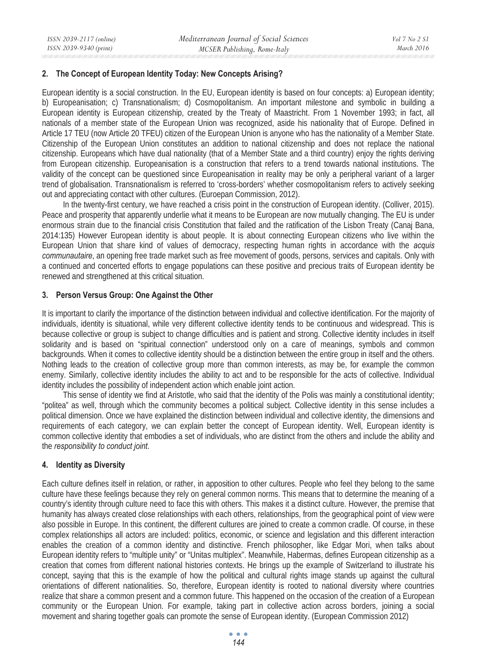### **2. The Concept of European Identity Today: New Concepts Arising?**

European identity is a social construction. In the EU, European identity is based on four concepts: a) European identity; b) Europeanisation; c) Transnationalism; d) Cosmopolitanism. An important milestone and symbolic in building a European identity is European citizenship, created by the Treaty of Maastricht. From 1 November 1993; in fact, all nationals of a member state of the European Union was recognized, aside his nationality that of Europe. Defined in Article 17 TEU (now Article 20 TFEU) citizen of the European Union is anyone who has the nationality of a Member State. Citizenship of the European Union constitutes an addition to national citizenship and does not replace the national citizenship. Europeans which have dual nationality (that of a Member State and a third country) enjoy the rights deriving from European citizenship. Europeanisation is a construction that refers to a trend towards national institutions. The validity of the concept can be questioned since Europeanisation in reality may be only a peripheral variant of a larger trend of globalisation. Transnationalism is referred to 'cross-borders' whether cosmopolitanism refers to actively seeking out and appreciating contact with other cultures. (Euroepan Commission, 2012).

In the twenty-first century, we have reached a crisis point in the construction of European identity. (Colliver, 2015). Peace and prosperity that apparently underlie what it means to be European are now mutually changing. The EU is under enormous strain due to the financial crisis Constitution that failed and the ratification of the Lisbon Treaty (Canaj Bana, 2014:135) However European identity is about people. It is about connecting European citizens who live within the European Union that share kind of values of democracy, respecting human rights in accordance with the *acquis communautaire*, an opening free trade market such as free movement of goods, persons, services and capitals. Only with a continued and concerted efforts to engage populations can these positive and precious traits of European identity be renewed and strengthened at this critical situation.

## **3. Person Versus Group: One Against the Other**

It is important to clarify the importance of the distinction between individual and collective identification. For the majority of individuals, identity is situational, while very different collective identity tends to be continuous and widespread. This is because collective or group is subject to change difficulties and is patient and strong. Collective identity includes in itself solidarity and is based on "spiritual connection" understood only on a care of meanings, symbols and common backgrounds. When it comes to collective identity should be a distinction between the entire group in itself and the others. Nothing leads to the creation of collective group more than common interests, as may be, for example the common enemy. Similarly, collective identity includes the ability to act and to be responsible for the acts of collective. Individual identity includes the possibility of independent action which enable joint action.

This sense of identity we find at Aristotle, who said that the identity of the Polis was mainly a constitutional identity; "politea" as well, through which the community becomes a political subject. Collective identity in this sense includes a political dimension. Once we have explained the distinction between individual and collective identity, the dimensions and requirements of each category, we can explain better the concept of European identity. Well, European identity is common collective identity that embodies a set of individuals, who are distinct from the others and include the ability and the *responsibility to conduct joint*.

## **4. Identity as Diversity**

Each culture defines itself in relation, or rather, in apposition to other cultures. People who feel they belong to the same culture have these feelings because they rely on general common norms. This means that to determine the meaning of a country's identity through culture need to face this with others. This makes it a distinct culture. However, the premise that humanity has always created close relationships with each others, relationships, from the geographical point of view were also possible in Europe. In this continent, the different cultures are joined to create a common cradle. Of course, in these complex relationships all actors are included: politics, economic, or science and legislation and this different interaction enables the creation of a common identity and distinctive. French philosopher, like Edgar Mori, when talks about European identity refers to "multiple unity" or "Unitas multiplex". Meanwhile, Habermas, defines European citizenship as a creation that comes from different national histories contexts. He brings up the example of Switzerland to illustrate his concept, saying that this is the example of how the political and cultural rights image stands up against the cultural orientations of different nationalities. So, therefore, European identity is rooted to national diversity where countries realize that share a common present and a common future. This happened on the occasion of the creation of a European community or the European Union. For example, taking part in collective action across borders, joining a social movement and sharing together goals can promote the sense of European identity. (European Commission 2012)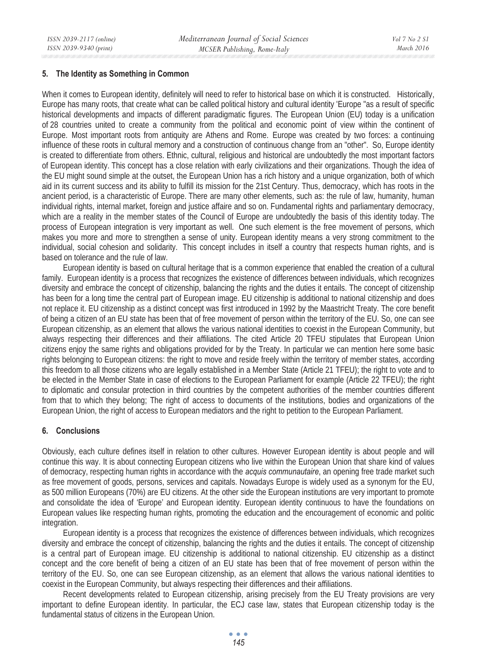## **5. The Identity as Something in Common**

When it comes to European identity, definitely will need to refer to historical base on which it is constructed. Historically, Europe has many roots, that create what can be called political history and cultural identity 'Europe "as a result of specific historical developments and impacts of different paradigmatic figures. The European Union (EU) today is a unification of 28 countries united to create a community from the political and economic point of view within the continent of Europe. Most important roots from antiquity are Athens and Rome. Europe was created by two forces: a continuing influence of these roots in cultural memory and a construction of continuous change from an "other". So, Europe identity is created to differentiate from others. Ethnic, cultural, religious and historical are undoubtedly the most important factors of European identity. This concept has a close relation with early civilizations and their organizations. Though the idea of the EU might sound simple at the outset, the European Union has a rich history and a unique organization, both of which aid in its current success and its ability to fulfill its mission for the 21st Century. Thus, democracy, which has roots in the ancient period, is a characteristic of Europe. There are many other elements, such as: the rule of law, humanity, human individual rights, internal market, foreign and justice affaire and so on. Fundamental rights and parliamentary democracy, which are a reality in the member states of the Council of Europe are undoubtedly the basis of this identity today. The process of European integration is very important as well. One such element is the free movement of persons, which makes you more and more to strengthen a sense of unity. European identity means a very strong commitment to the individual, social cohesion and solidarity. This concept includes in itself a country that respects human rights, and is based on tolerance and the rule of law.

European identity is based on cultural heritage that is a common experience that enabled the creation of a cultural family. European identity is a process that recognizes the existence of differences between individuals, which recognizes diversity and embrace the concept of citizenship, balancing the rights and the duties it entails. The concept of citizenship has been for a long time the central part of European image. EU citizenship is additional to national citizenship and does not replace it. EU citizenship as a distinct concept was first introduced in 1992 by the Maastricht Treaty. The core benefit of being a citizen of an EU state has been that of free movement of person within the territory of the EU. So, one can see European citizenship, as an element that allows the various national identities to coexist in the European Community, but always respecting their differences and their affiliations. The cited Article 20 TFEU stipulates that European Union citizens enjoy the same rights and obligations provided for by the Treaty. In particular we can mention here some basic rights belonging to European citizens: the right to move and reside freely within the territory of member states, according this freedom to all those citizens who are legally established in a Member State (Article 21 TFEU); the right to vote and to be elected in the Member State in case of elections to the European Parliament for example (Article 22 TFEU); the right to diplomatic and consular protection in third countries by the competent authorities of the member countries different from that to which they belong; The right of access to documents of the institutions, bodies and organizations of the European Union, the right of access to European mediators and the right to petition to the European Parliament.

### **6. Conclusions**

Obviously, each culture defines itself in relation to other cultures. However European identity is about people and will continue this way. It is about connecting European citizens who live within the European Union that share kind of values of democracy, respecting human rights in accordance with the *acquis communautaire*, an opening free trade market such as free movement of goods, persons, services and capitals. Nowadays Europe is widely used as a synonym for the EU, as 500 million Europeans (70%) are EU citizens. At the other side the European institutions are very important to promote and consolidate the idea of 'Europe' and European identity. European identity continuous to have the foundations on European values like respecting human rights, promoting the education and the encouragement of economic and politic integration.

European identity is a process that recognizes the existence of differences between individuals, which recognizes diversity and embrace the concept of citizenship, balancing the rights and the duties it entails. The concept of citizenship is a central part of European image. EU citizenship is additional to national citizenship. EU citizenship as a distinct concept and the core benefit of being a citizen of an EU state has been that of free movement of person within the territory of the EU. So, one can see European citizenship, as an element that allows the various national identities to coexist in the European Community, but always respecting their differences and their affiliations.

Recent developments related to European citizenship, arising precisely from the EU Treaty provisions are very important to define European identity. In particular, the ECJ case law, states that European citizenship today is the fundamental status of citizens in the European Union.